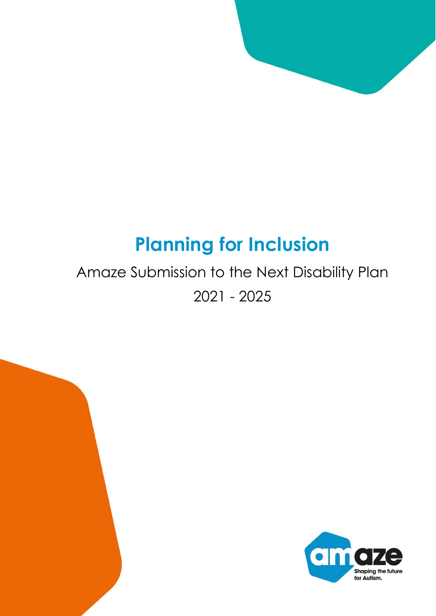# **Planning for Inclusion**

# Amaze Submission to the Next Disability Plan 2021 - 2025



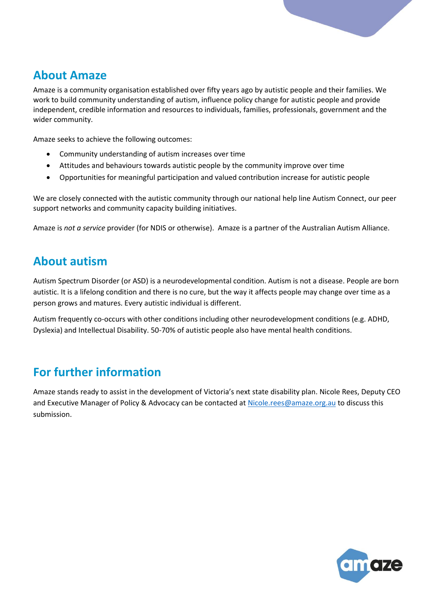

# **About Amaze**

Amaze is a community organisation established over fifty years ago by autistic people and their families. We work to build community understanding of autism, influence policy change for autistic people and provide independent, credible information and resources to individuals, families, professionals, government and the wider community.

Amaze seeks to achieve the following outcomes:

- Community understanding of autism increases over time
- Attitudes and behaviours towards autistic people by the community improve over time
- Opportunities for meaningful participation and valued contribution increase for autistic people

We are closely connected with the autistic community through our national help line Autism Connect, our peer support networks and community capacity building initiatives.

Amaze is *not a service* provider (for NDIS or otherwise). Amaze is a partner of the Australian Autism Alliance.

# **About autism**

Autism Spectrum Disorder (or ASD) is a neurodevelopmental condition. Autism is not a disease. People are born autistic. It is a lifelong condition and there is no cure, but the way it affects people may change over time as a person grows and matures. Every autistic individual is different.

Autism frequently co-occurs with other conditions including other neurodevelopment conditions (e.g. ADHD, Dyslexia) and Intellectual Disability. 50-70% of autistic people also have mental health conditions.

# **For further information**

Amaze stands ready to assist in the development of Victoria's next state disability plan. Nicole Rees, Deputy CEO and Executive Manager of Policy & Advocacy can be contacted at [Nicole.rees@amaze.org.au](mailto:Nicole.rees@amaze.org.au) to discuss this submission.

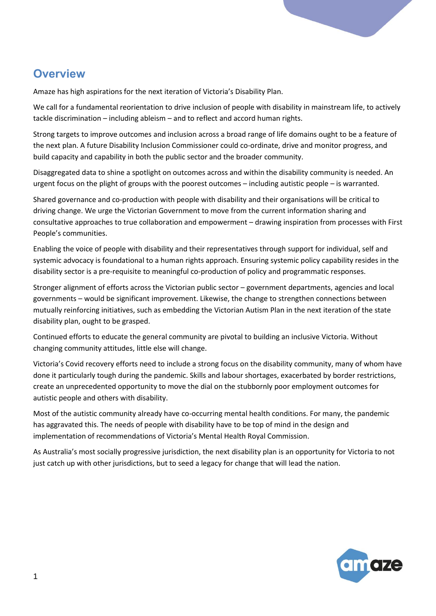# **Overview**

Amaze has high aspirations for the next iteration of Victoria's Disability Plan.

We call for a fundamental reorientation to drive inclusion of people with disability in mainstream life, to actively tackle discrimination – including ableism – and to reflect and accord human rights.

Strong targets to improve outcomes and inclusion across a broad range of life domains ought to be a feature of the next plan. A future Disability Inclusion Commissioner could co-ordinate, drive and monitor progress, and build capacity and capability in both the public sector and the broader community.

Disaggregated data to shine a spotlight on outcomes across and within the disability community is needed. An urgent focus on the plight of groups with the poorest outcomes – including autistic people – is warranted.

Shared governance and co-production with people with disability and their organisations will be critical to driving change. We urge the Victorian Government to move from the current information sharing and consultative approaches to true collaboration and empowerment – drawing inspiration from processes with First People's communities.

Enabling the voice of people with disability and their representatives through support for individual, self and systemic advocacy is foundational to a human rights approach. Ensuring systemic policy capability resides in the disability sector is a pre-requisite to meaningful co-production of policy and programmatic responses.

Stronger alignment of efforts across the Victorian public sector – government departments, agencies and local governments – would be significant improvement. Likewise, the change to strengthen connections between mutually reinforcing initiatives, such as embedding the Victorian Autism Plan in the next iteration of the state disability plan, ought to be grasped.

Continued efforts to educate the general community are pivotal to building an inclusive Victoria. Without changing community attitudes, little else will change.

Victoria's Covid recovery efforts need to include a strong focus on the disability community, many of whom have done it particularly tough during the pandemic. Skills and labour shortages, exacerbated by border restrictions, create an unprecedented opportunity to move the dial on the stubbornly poor employment outcomes for autistic people and others with disability.

Most of the autistic community already have co-occurring mental health conditions. For many, the pandemic has aggravated this. The needs of people with disability have to be top of mind in the design and implementation of recommendations of Victoria's Mental Health Royal Commission.

As Australia's most socially progressive jurisdiction, the next disability plan is an opportunity for Victoria to not just catch up with other jurisdictions, but to seed a legacy for change that will lead the nation.

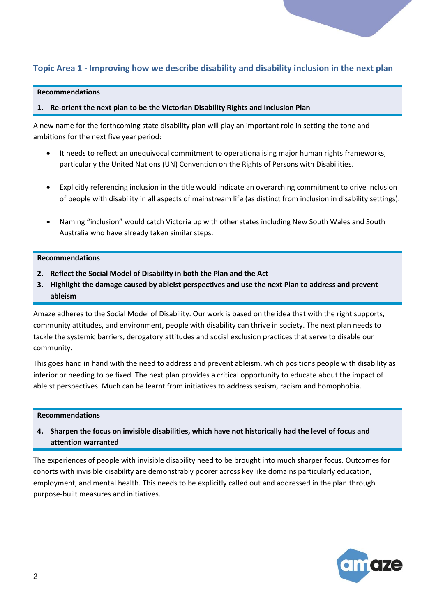# **Topic Area 1 - Improving how we describe disability and disability inclusion in the next plan**

#### **Recommendations**

#### **1. Re-orient the next plan to be the Victorian Disability Rights and Inclusion Plan**

A new name for the forthcoming state disability plan will play an important role in setting the tone and ambitions for the next five year period:

- It needs to reflect an unequivocal commitment to operationalising major human rights frameworks, particularly the United Nations (UN) Convention on the Rights of Persons with Disabilities.
- Explicitly referencing inclusion in the title would indicate an overarching commitment to drive inclusion of people with disability in all aspects of mainstream life (as distinct from inclusion in disability settings).
- Naming "inclusion" would catch Victoria up with other states including New South Wales and South Australia who have already taken similar steps.

#### **Recommendations**

- **2. Reflect the Social Model of Disability in both the Plan and the Act**
- **3. Highlight the damage caused by ableist perspectives and use the next Plan to address and prevent ableism**

Amaze adheres to the Social Model of Disability. Our work is based on the idea that with the right supports, community attitudes, and environment, people with disability can thrive in society. The next plan needs to tackle the systemic barriers, derogatory attitudes and social exclusion practices that serve to disable our community.

This goes hand in hand with the need to address and prevent ableism, which positions people with disability as inferior or needing to be fixed. The next plan provides a critical opportunity to educate about the impact of ableist perspectives. Much can be learnt from initiatives to address sexism, racism and homophobia.

#### **Recommendations**

## **4. Sharpen the focus on invisible disabilities, which have not historically had the level of focus and attention warranted**

The experiences of people with invisible disability need to be brought into much sharper focus. Outcomes for cohorts with invisible disability are demonstrably poorer across key like domains particularly education, employment, and mental health. This needs to be explicitly called out and addressed in the plan through purpose-built measures and initiatives.

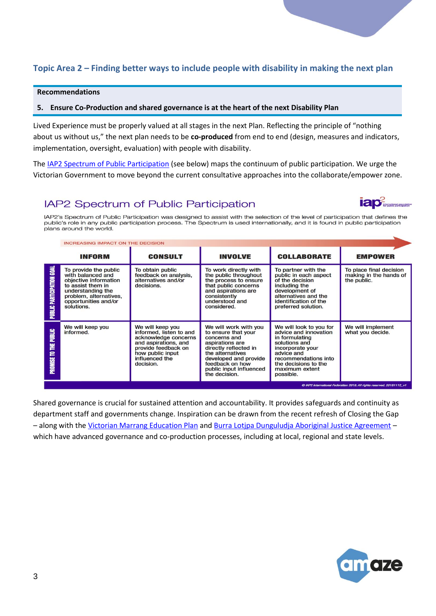# **Topic Area 2 – Finding better ways to include people with disability in making the next plan**

#### **Recommendations**

#### **5. Ensure Co-Production and shared governance is at the heart of the next Disability Plan**

Lived Experience must be properly valued at all stages in the next Plan. Reflecting the principle of "nothing about us without us," the next plan needs to be **co-produced** from end to end (design, measures and indicators, implementation, oversight, evaluation) with people with disability.

Th[e IAP2 Spectrum of Public Participation](https://iap2.org.au/wp-content/uploads/2020/01/2018_IAP2_Spectrum.pdf) (see below) maps the continuum of public participation. We urge the Victorian Government to move beyond the current consultative approaches into the collaborate/empower zone.

# IAP2 Spectrum of Public Participation



IAP2's Spectrum of Public Participation was designed to assist with the selection of the level of participation that defines the public's role in any public participation process. The Spectrum is used internationally, and it is found in public participation plans around the world.

|                                            |                                                                                                                                                                               | <b>INCREASING IMPACT ON THE DECISION</b>                                                                                                                              |                                                                                                                                                                                                                      |                                                                                                                                                                                                      |                                                                  |  |
|--------------------------------------------|-------------------------------------------------------------------------------------------------------------------------------------------------------------------------------|-----------------------------------------------------------------------------------------------------------------------------------------------------------------------|----------------------------------------------------------------------------------------------------------------------------------------------------------------------------------------------------------------------|------------------------------------------------------------------------------------------------------------------------------------------------------------------------------------------------------|------------------------------------------------------------------|--|
|                                            | <b>INFORM</b>                                                                                                                                                                 | <b>CONSULT</b>                                                                                                                                                        | <b>INVOLVE</b>                                                                                                                                                                                                       | <b>COLLABORATE</b>                                                                                                                                                                                   | <b>EMPOWER</b>                                                   |  |
| <b>PARTICIPATION GOAL</b><br><b>PUBLIC</b> | To provide the public<br>with balanced and<br>objective information<br>to assist them in<br>understanding the<br>problem, alternatives,<br>opportunities and/or<br>solutions. | To obtain public<br>feedback on analysis,<br>alternatives and/or<br>decisions.                                                                                        | To work directly with<br>the public throughout<br>the process to ensure<br>that public concerns<br>and aspirations are<br>consistently<br>understood and<br>considered.                                              | To partner with the<br>public in each aspect<br>of the decision<br>including the<br>development of<br>alternatives and the<br>identification of the<br>preferred solution.                           | To place final decision<br>making in the hands of<br>the public. |  |
| PUBLIC<br>뿓<br>s<br><b>PROMISE</b>         | We will keep you<br>informed.                                                                                                                                                 | We will keep you<br>informed, listen to and<br>acknowledge concerns<br>and aspirations, and<br>provide feedback on<br>how public input<br>influenced the<br>decision. | We will work with you<br>to ensure that your<br>concerns and<br>aspirations are<br>directly reflected in<br>the alternatives<br>developed and provide<br>feedback on how<br>public input influenced<br>the decision. | We will look to you for<br>advice and innovation<br>in formulating<br>solutions and<br>incorporate your<br>advice and<br>recommendations into<br>the decisions to the<br>maximum extent<br>possible. | We will implement<br>what you decide.                            |  |

Shared governance is crucial for sustained attention and accountability. It provides safeguards and continuity as department staff and governments change. Inspiration can be drawn from the recent refresh of Closing the Gap – along with the [Victorian Marrang Education Plan](https://www.education.vic.gov.au/about/programs/Pages/marrung.aspx#link51) and [Burra Lotjpa Dunguludja Aboriginal Justice Agreement](https://www.aboriginaljustice.vic.gov.au/the-agreement/governance-implementation-and-accountability/roles-and-responsibilities) – which have advanced governance and co-production processes, including at local, regional and state levels.

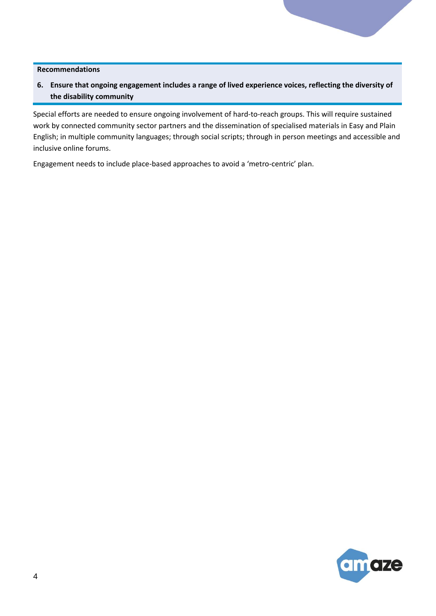**6. Ensure that ongoing engagement includes a range of lived experience voices, reflecting the diversity of the disability community**

Special efforts are needed to ensure ongoing involvement of hard-to-reach groups. This will require sustained work by connected community sector partners and the dissemination of specialised materials in Easy and Plain English; in multiple community languages; through social scripts; through in person meetings and accessible and inclusive online forums.

Engagement needs to include place-based approaches to avoid a 'metro-centric' plan.

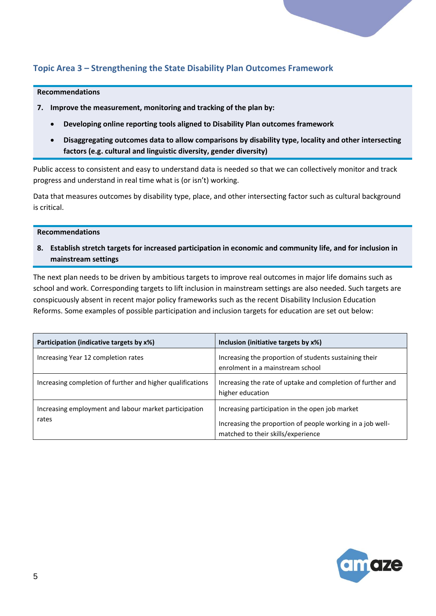# **Topic Area 3 – Strengthening the State Disability Plan Outcomes Framework**

#### **Recommendations**

- **7. Improve the measurement, monitoring and tracking of the plan by:**
	- **Developing online reporting tools aligned to Disability Plan outcomes framework**
	- **Disaggregating outcomes data to allow comparisons by disability type, locality and other intersecting factors (e.g. cultural and linguistic diversity, gender diversity)**

Public access to consistent and easy to understand data is needed so that we can collectively monitor and track progress and understand in real time what is (or isn't) working.

Data that measures outcomes by disability type, place, and other intersecting factor such as cultural background is critical.

#### **Recommendations**

**8. Establish stretch targets for increased participation in economic and community life, and for inclusion in mainstream settings** 

The next plan needs to be driven by ambitious targets to improve real outcomes in major life domains such as school and work. Corresponding targets to lift inclusion in mainstream settings are also needed. Such targets are conspicuously absent in recent major policy frameworks such as the recent Disability Inclusion Education Reforms. Some examples of possible participation and inclusion targets for education are set out below:

| Participation (indicative targets by x%)                       | Inclusion (initiative targets by x%)                                                                                                                |
|----------------------------------------------------------------|-----------------------------------------------------------------------------------------------------------------------------------------------------|
| Increasing Year 12 completion rates                            | Increasing the proportion of students sustaining their<br>enrolment in a mainstream school                                                          |
| Increasing completion of further and higher qualifications     | Increasing the rate of uptake and completion of further and<br>higher education                                                                     |
| Increasing employment and labour market participation<br>rates | Increasing participation in the open job market<br>Increasing the proportion of people working in a job well-<br>matched to their skills/experience |

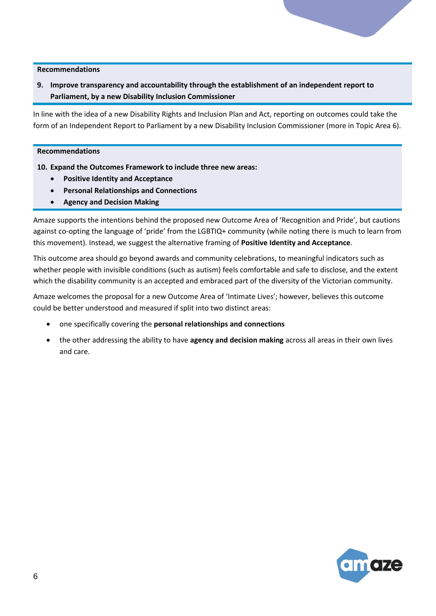**9. Improve transparency and accountability through the establishment of an independent report to Parliament, by a new Disability Inclusion Commissioner**

In line with the idea of a new Disability Rights and Inclusion Plan and Act, reporting on outcomes could take the form of an Independent Report to Parliament by a new Disability Inclusion Commissioner (more in Topic Area 6).

#### **Recommendations**

- **10. Expand the Outcomes Framework to include three new areas:**
	- **Positive Identity and Acceptance**
	- **Personal Relationships and Connections**
	- **Agency and Decision Making**

Amaze supports the intentions behind the proposed new Outcome Area of 'Recognition and Pride', but cautions against co-opting the language of 'pride' from the LGBTIQ+ community (while noting there is much to learn from this movement). Instead, we suggest the alternative framing of **Positive Identity and Acceptance**.

This outcome area should go beyond awards and community celebrations, to meaningful indicators such as whether people with invisible conditions (such as autism) feels comfortable and safe to disclose, and the extent which the disability community is an accepted and embraced part of the diversity of the Victorian community.

Amaze welcomes the proposal for a new Outcome Area of 'Intimate Lives'; however, believes this outcome could be better understood and measured if split into two distinct areas:

- one specifically covering the **personal relationships and connections**
- the other addressing the ability to have **agency and decision making** across all areas in their own lives and care.

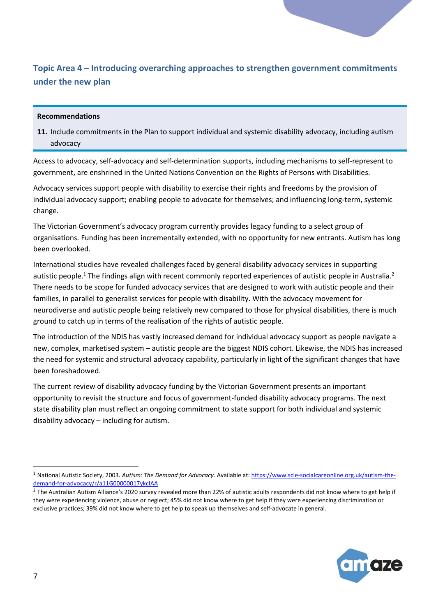# **Topic Area 4 – Introducing overarching approaches to strengthen government commitments under the new plan**

#### **Recommendations**

**11.** Include commitments in the Plan to support individual and systemic disability advocacy, including autism advocacy

Access to advocacy, self-advocacy and self-determination supports, including mechanisms to self-represent to government, are enshrined in the United Nations Convention on the Rights of Persons with Disabilities.

Advocacy services support people with disability to exercise their rights and freedoms by the provision of individual advocacy support; enabling people to advocate for themselves; and influencing long-term, systemic change.

The Victorian Government's advocacy program currently provides legacy funding to a select group of organisations. Funding has been incrementally extended, with no opportunity for new entrants. Autism has long been overlooked.

International studies have revealed challenges faced by general disability advocacy services in supporting autistic people.<sup>1</sup> The findings align with recent commonly reported experiences of autistic people in Australia.<sup>2</sup> There needs to be scope for funded advocacy services that are designed to work with autistic people and their families, in parallel to generalist services for people with disability. With the advocacy movement for neurodiverse and autistic people being relatively new compared to those for physical disabilities, there is much ground to catch up in terms of the realisation of the rights of autistic people.

The introduction of the NDIS has vastly increased demand for individual advocacy support as people navigate a new, complex, marketised system – autistic people are the biggest NDIS cohort. Likewise, the NDIS has increased the need for systemic and structural advocacy capability, particularly in light of the significant changes that have been foreshadowed.

The current review of disability advocacy funding by the Victorian Government presents an important opportunity to revisit the structure and focus of government-funded disability advocacy programs. The next state disability plan must reflect an ongoing commitment to state support for both individual and systemic disability advocacy – including for autism.



<sup>1</sup> National Autistic Society, 2003. *Autism: The Demand for Advocacy*. Available at[: https://www.scie-socialcareonline.org.uk/autism-the](https://www.scie-socialcareonline.org.uk/autism-the-demand-for-advocacy/r/a11G00000017ykcIAA)[demand-for-advocacy/r/a11G00000017ykcIAA](https://www.scie-socialcareonline.org.uk/autism-the-demand-for-advocacy/r/a11G00000017ykcIAA)

 $^2$  The Australian Autism Alliance's 2020 survey revealed more than 22% of autistic adults respondents did not know where to get help if they were experiencing violence, abuse or neglect; 45% did not know where to get help if they were experiencing discrimination or exclusive practices; 39% did not know where to get help to speak up themselves and self-advocate in general.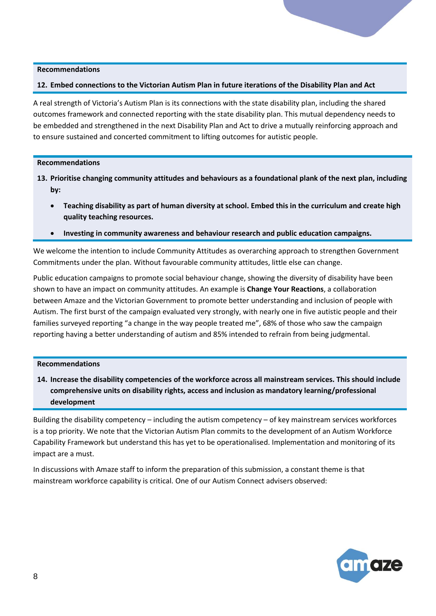#### **12. Embed connections to the Victorian Autism Plan in future iterations of the Disability Plan and Act**

A real strength of Victoria's Autism Plan is its connections with the state disability plan, including the shared outcomes framework and connected reporting with the state disability plan. This mutual dependency needs to be embedded and strengthened in the next Disability Plan and Act to drive a mutually reinforcing approach and to ensure sustained and concerted commitment to lifting outcomes for autistic people.

#### **Recommendations**

- **13. Prioritise changing community attitudes and behaviours as a foundational plank of the next plan, including by:**
	- **Teaching disability as part of human diversity at school. Embed this in the curriculum and create high quality teaching resources.**
	- **Investing in community awareness and behaviour research and public education campaigns.**

We welcome the intention to include Community Attitudes as overarching approach to strengthen Government Commitments under the plan. Without favourable community attitudes, little else can change.

Public education campaigns to promote social behaviour change, showing the diversity of disability have been shown to have an impact on community attitudes. An example is **Change Your Reactions**, a collaboration between Amaze and the Victorian Government to promote better understanding and inclusion of people with Autism. The first burst of the campaign evaluated very strongly, with nearly one in five autistic people and their families surveyed reporting "a change in the way people treated me", 68% of those who saw the campaign reporting having a better understanding of autism and 85% intended to refrain from being judgmental.

#### **Recommendations**

**14. Increase the disability competencies of the workforce across all mainstream services. This should include comprehensive units on disability rights, access and inclusion as mandatory learning/professional development**

Building the disability competency – including the autism competency – of key mainstream services workforces is a top priority. We note that the Victorian Autism Plan commits to the development of an Autism Workforce Capability Framework but understand this has yet to be operationalised. Implementation and monitoring of its impact are a must.

In discussions with Amaze staff to inform the preparation of this submission, a constant theme is that mainstream workforce capability is critical. One of our Autism Connect advisers observed:

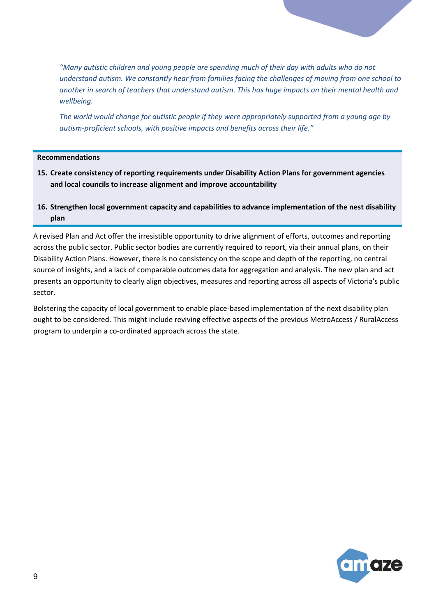*"Many autistic children and young people are spending much of their day with adults who do not understand autism. We constantly hear from families facing the challenges of moving from one school to another in search of teachers that understand autism. This has huge impacts on their mental health and wellbeing.* 

*The world would change for autistic people if they were appropriately supported from a young age by autism-proficient schools, with positive impacts and benefits across their life."*

#### **Recommendations**

- **15. Create consistency of reporting requirements under Disability Action Plans for government agencies and local councils to increase alignment and improve accountability**
- **16. Strengthen local government capacity and capabilities to advance implementation of the nest disability plan**

A revised Plan and Act offer the irresistible opportunity to drive alignment of efforts, outcomes and reporting across the public sector. Public sector bodies are currently required to report, via their annual plans, on their Disability Action Plans. However, there is no consistency on the scope and depth of the reporting, no central source of insights, and a lack of comparable outcomes data for aggregation and analysis. The new plan and act presents an opportunity to clearly align objectives, measures and reporting across all aspects of Victoria's public sector.

Bolstering the capacity of local government to enable place-based implementation of the next disability plan ought to be considered. This might include reviving effective aspects of the previous MetroAccess / RuralAccess program to underpin a co-ordinated approach across the state.

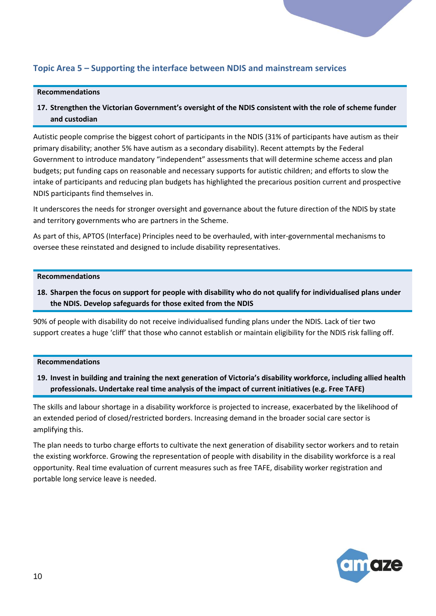## **Topic Area 5 – Supporting the interface between NDIS and mainstream services**

#### **Recommendations**

**17. Strengthen the Victorian Government's oversight of the NDIS consistent with the role of scheme funder and custodian** 

Autistic people comprise the biggest cohort of participants in the NDIS (31% of participants have autism as their primary disability; another 5% have autism as a secondary disability). Recent attempts by the Federal Government to introduce mandatory "independent" assessments that will determine scheme access and plan budgets; put funding caps on reasonable and necessary supports for autistic children; and efforts to slow the intake of participants and reducing plan budgets has highlighted the precarious position current and prospective NDIS participants find themselves in.

It underscores the needs for stronger oversight and governance about the future direction of the NDIS by state and territory governments who are partners in the Scheme.

As part of this, APTOS (Interface) Principles need to be overhauled, with inter-governmental mechanisms to oversee these reinstated and designed to include disability representatives.

#### **Recommendations**

**18. Sharpen the focus on support for people with disability who do not qualify for individualised plans under the NDIS. Develop safeguards for those exited from the NDIS**

90% of people with disability do not receive individualised funding plans under the NDIS. Lack of tier two support creates a huge 'cliff' that those who cannot establish or maintain eligibility for the NDIS risk falling off.

#### **Recommendations**

**19. Invest in building and training the next generation of Victoria's disability workforce, including allied health professionals. Undertake real time analysis of the impact of current initiatives (e.g. Free TAFE)**

The skills and labour shortage in a disability workforce is projected to increase, exacerbated by the likelihood of an extended period of closed/restricted borders. Increasing demand in the broader social care sector is amplifying this.

The plan needs to turbo charge efforts to cultivate the next generation of disability sector workers and to retain the existing workforce. Growing the representation of people with disability in the disability workforce is a real opportunity. Real time evaluation of current measures such as free TAFE, disability worker registration and portable long service leave is needed.

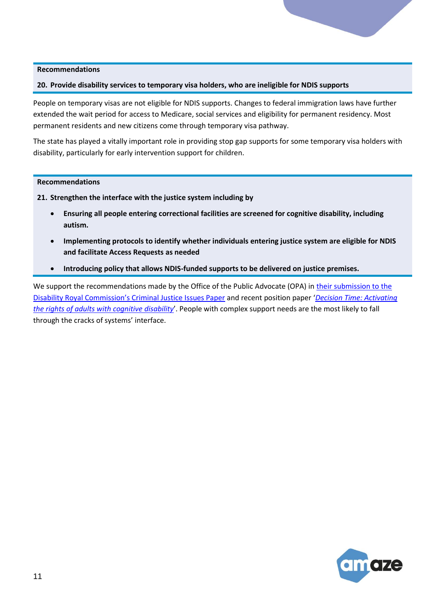#### **20. Provide disability services to temporary visa holders, who are ineligible for NDIS supports**

People on temporary visas are not eligible for NDIS supports. Changes to federal immigration laws have further extended the wait period for access to Medicare, social services and eligibility for permanent residency. Most permanent residents and new citizens come through temporary visa pathway.

The state has played a vitally important role in providing stop gap supports for some temporary visa holders with disability, particularly for early intervention support for children.

#### **Recommendations**

- **21. Strengthen the interface with the justice system including by**
	- **Ensuring all people entering correctional facilities are screened for cognitive disability, including autism.**
	- **Implementing protocols to identify whether individuals entering justice system are eligible for NDIS and facilitate Access Requests as needed**
	- **Introducing policy that allows NDIS-funded supports to be delivered on justice premises.**

We support the recommendations made by the Office of the Public Advocate (OPA) in their submission to the [Disability Royal Commission's Criminal Justice Issues Paper](https://www.publicadvocate.vic.gov.au/resource/file?id=18) and recent position paper '*[Decision Time: Activating](https://www.publicadvocate.vic.gov.au/resource/file?id=26)  [the rights of adults with cognitive disability](https://www.publicadvocate.vic.gov.au/resource/file?id=26)*'. People with complex support needs are the most likely to fall through the cracks of systems' interface.

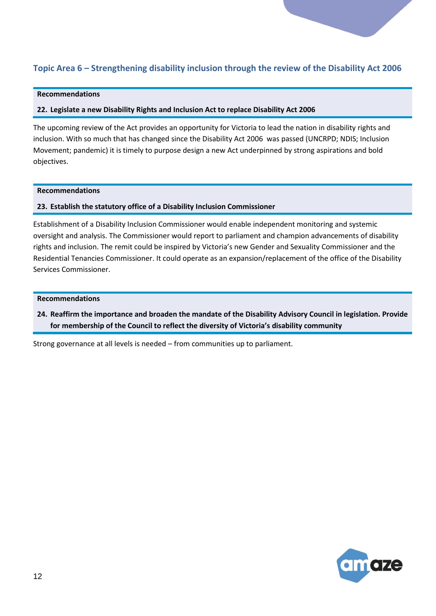# **Topic Area 6 – Strengthening disability inclusion through the review of the Disability Act 2006**

### **Recommendations**

#### **22. Legislate a new Disability Rights and Inclusion Act to replace Disability Act 2006**

The upcoming review of the Act provides an opportunity for Victoria to lead the nation in disability rights and inclusion. With so much that has changed since the Disability Act 2006 was passed (UNCRPD; NDIS; Inclusion Movement; pandemic) it is timely to purpose design a new Act underpinned by strong aspirations and bold objectives.

#### **Recommendations**

#### **23. Establish the statutory office of a Disability Inclusion Commissioner**

Establishment of a Disability Inclusion Commissioner would enable independent monitoring and systemic oversight and analysis. The Commissioner would report to parliament and champion advancements of disability rights and inclusion. The remit could be inspired by Victoria's new Gender and Sexuality Commissioner and the Residential Tenancies Commissioner. It could operate as an expansion/replacement of the office of the Disability Services Commissioner.

#### **Recommendations**

**24. Reaffirm the importance and broaden the mandate of the Disability Advisory Council in legislation. Provide for membership of the Council to reflect the diversity of Victoria's disability community**

Strong governance at all levels is needed – from communities up to parliament.

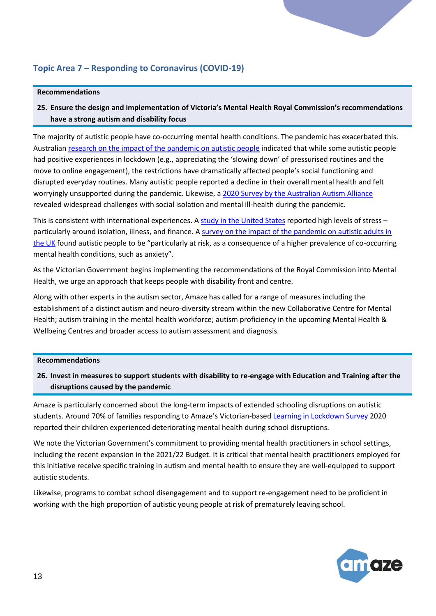# **Topic Area 7 – Responding to Coronavirus (COVID-19)**

#### **Recommendations**

**25. Ensure the design and implementation of Victoria's Mental Health Royal Commission's recommendations have a strong autism and disability focus**

The majority of autistic people have co-occurring mental health conditions. The pandemic has exacerbated this. Australian [research on the impact of the pandemic on autistic people](https://www.sydney.edu.au/dam/corporate/documents/sydney-policy-lab/everyday-experiences-of-autistic-people-during-covid-19---report---july-2020.pdf) indicated that while some autistic people had positive experiences in lockdown (e.g., appreciating the 'slowing down' of pressurised routines and the move to online engagement), the restrictions have dramatically affected people's social functioning and disrupted everyday routines. Many autistic people reported a decline in their overall mental health and felt worryingly unsupported during the pandemic. Likewise, a [2020 Survey by the Australian Autism Alliance](https://amazevic.sharepoint.com/:b:/g/EVtAZ46MeLNNmQUYD3aXWcQBV9vLP7LfqnTC8KiwzZLkpg?e=57Iq0Y) revealed widespread challenges with social isolation and mental ill-health during the pandemic.

This is consistent with international experiences. A [study in the United States](https://link.springer.com/article/10.1007/s10803-020-04760-5) reported high levels of stress particularly around isolation, illness, and finance. [A survey on the impact of the pandemic on autistic adults in](https://www.emerald.com/insight/content/doi/10.1108/AIA-10-2020-0057/full/html)  [the UK](https://www.emerald.com/insight/content/doi/10.1108/AIA-10-2020-0057/full/html) found autistic people to be "particularly at risk, as a consequence of a higher prevalence of co-occurring mental health conditions, such as anxiety".

As the Victorian Government begins implementing the recommendations of the Royal Commission into Mental Health, we urge an approach that keeps people with disability front and centre.

Along with other experts in the autism sector, Amaze has called for a range of measures including the establishment of a distinct autism and neuro-diversity stream within the new Collaborative Centre for Mental Health; autism training in the mental health workforce; autism proficiency in the upcoming Mental Health & Wellbeing Centres and broader access to autism assessment and diagnosis.

#### **Recommendations**

## **26. Invest in measures to support students with disability to re-engage with Education and Training after the disruptions caused by the pandemic**

Amaze is particularly concerned about the long-term impacts of extended schooling disruptions on autistic students. Around 70% of families responding to Amaze's Victorian-based [Learning in Lockdown Survey](https://www.amaze.org.au/wp-content/uploads/2020/09/Amaze-Learning-in-Lockdown-Report-Term-3-Sept-2020.pdf) 2020 reported their children experienced deteriorating mental health during school disruptions.

We note the Victorian Government's commitment to providing mental health practitioners in school settings, including the recent expansion in the 2021/22 Budget. It is critical that mental health practitioners employed for this initiative receive specific training in autism and mental health to ensure they are well-equipped to support autistic students.

Likewise, programs to combat school disengagement and to support re-engagement need to be proficient in working with the high proportion of autistic young people at risk of prematurely leaving school.